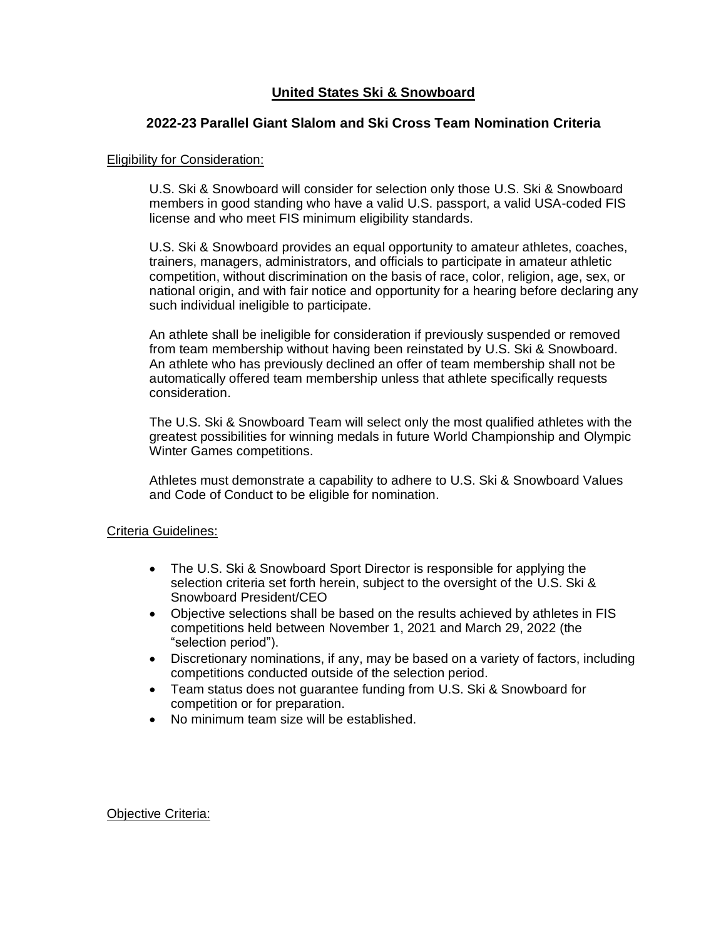# **United States Ski & Snowboard**

## **2022-23 Parallel Giant Slalom and Ski Cross Team Nomination Criteria**

#### Eligibility for Consideration:

U.S. Ski & Snowboard will consider for selection only those U.S. Ski & Snowboard members in good standing who have a valid U.S. passport, a valid USA-coded FIS license and who meet FIS minimum eligibility standards.

U.S. Ski & Snowboard provides an equal opportunity to amateur athletes, coaches, trainers, managers, administrators, and officials to participate in amateur athletic competition, without discrimination on the basis of race, color, religion, age, sex, or national origin, and with fair notice and opportunity for a hearing before declaring any such individual ineligible to participate.

An athlete shall be ineligible for consideration if previously suspended or removed from team membership without having been reinstated by U.S. Ski & Snowboard. An athlete who has previously declined an offer of team membership shall not be automatically offered team membership unless that athlete specifically requests consideration.

The U.S. Ski & Snowboard Team will select only the most qualified athletes with the greatest possibilities for winning medals in future World Championship and Olympic Winter Games competitions.

Athletes must demonstrate a capability to adhere to U.S. Ski & Snowboard Values and Code of Conduct to be eligible for nomination.

#### Criteria Guidelines:

- The U.S. Ski & Snowboard Sport Director is responsible for applying the selection criteria set forth herein, subject to the oversight of the U.S. Ski & Snowboard President/CEO
- Objective selections shall be based on the results achieved by athletes in FIS competitions held between November 1, 2021 and March 29, 2022 (the "selection period").
- Discretionary nominations, if any, may be based on a variety of factors, including competitions conducted outside of the selection period.
- Team status does not guarantee funding from U.S. Ski & Snowboard for competition or for preparation.
- No minimum team size will be established.

Objective Criteria: